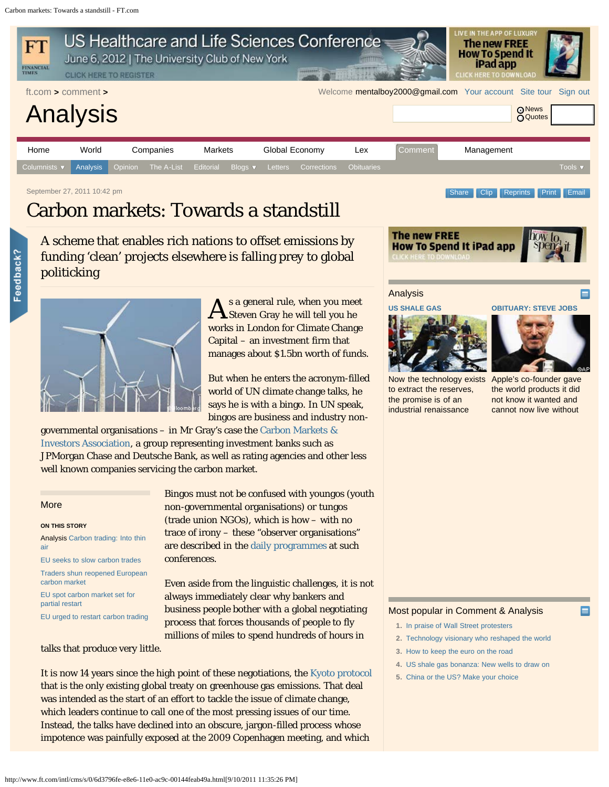<span id="page-0-0"></span>

A scheme that enables rich nations to offset emissions by funding 'clean' projects elsewhere is falling prey to global politicking



A s a general rule, when you mee s a general rule, when you meet works in London for Climate Change Capital – an investment firm that manages about \$1.5bn worth of funds.

But when he enters the acronym-filled world of UN climate change talks, he says he is with a bingo. In UN speak, bingos are business and industry non-

governmental organisations – in Mr Gray's case the [Carbon Markets &](http://www.cmia.net/) [Investors Association,](http://www.cmia.net/) a group representing investment banks such as JPMorgan Chase and Deutsche Bank, as well as rating agencies and other less well known companies servicing the carbon market.

## More

Feedback?

# **ON THIS STORY**

Analysis [Carbon trading: Into thin](http://www.ft.com/cms/s/0/368f8482-387d-11e0-959c-00144feabdc0.html) [air](http://www.ft.com/cms/s/0/368f8482-387d-11e0-959c-00144feabdc0.html)

[EU seeks to slow carbon trades](http://www.ft.com/cms/s/0/76176956-384d-11e0-8257-00144feabdc0.html) [Traders shun reopened European](http://www.ft.com/cms/s/0/aa1585c4-304d-11e0-8d80-00144feabdc0.html)

[carbon market](http://www.ft.com/cms/s/0/aa1585c4-304d-11e0-8d80-00144feabdc0.html) [EU spot carbon market set for](http://www.ft.com/cms/s/0/c5d1392e-2efa-11e0-88ec-00144feabdc0.html)

[partial restart](http://www.ft.com/cms/s/0/c5d1392e-2efa-11e0-88ec-00144feabdc0.html)

[EU urged to restart carbon trading](http://www.ft.com/cms/s/0/9c411d12-2d6b-11e0-8f53-00144feab49a.html)

Bingos must not be confused with youngos (youth non-governmental organisations) or tungos (trade union NGOs), which is how – with no trace of irony – these "observer organisations" are described in the [daily programmes](http://unfccc.int/resource/docs/2011/sb/od07.pdf) at such conferences.

Even aside from the linguistic challenges, it is not always immediately clear why bankers and business people bother with a global negotiating process that forces thousands of people to fly millions of miles to spend hundreds of hours in

talks that produce very little.

It is now 14 years since the high point of these negotiations, the [Kyoto protocol](http://unfccc.int/kyoto_protocol/items/2830.php) that is the only existing global treaty on greenhouse gas emissions. That deal was intended as the start of an effort to tackle the issue of climate change, which leaders continue to call one of the most pressing issues of our time. Instead, the talks have declined into an obscure, jargon-filled process whose impotence was painfully exposed at the 2009 Copenhagen meeting, and which



### Analysis

# **[US SHALE GAS](http://www.ft.com/intl/comment/analysis)**

[Now the technology exists](http://www.ft.com/intl/cms/s/0/067a0a38-ef39-11e0-918b-00144feab49a.html#axzz1Z0c0Pldc) [Apple's co-founder gave](http://www.ft.com/cms/s/0/923d2b74-f027-11e0-977b-00144feab49a.html) [to extract the reserves,](http://www.ft.com/intl/cms/s/0/067a0a38-ef39-11e0-918b-00144feab49a.html#axzz1Z0c0Pldc) [the promise is of an](http://www.ft.com/intl/cms/s/0/067a0a38-ef39-11e0-918b-00144feab49a.html#axzz1Z0c0Pldc) [industrial renaissance](http://www.ft.com/intl/cms/s/0/067a0a38-ef39-11e0-918b-00144feab49a.html#axzz1Z0c0Pldc)

**[OBITUARY: STEVE JOBS](http://www.ft.com/intl/cms/s/0/www.ft.com/analysis)**

[the world products it did](http://www.ft.com/cms/s/0/923d2b74-f027-11e0-977b-00144feab49a.html) [not know it wanted and](http://www.ft.com/cms/s/0/923d2b74-f027-11e0-977b-00144feab49a.html) [cannot now live without](http://www.ft.com/cms/s/0/923d2b74-f027-11e0-977b-00144feab49a.html)

# Most popular in Comment & Analysis

- **1.** [In praise of Wall Street protesters](http://www.ft.com/intl/cms/s/0/d59518f2-ef3f-11e0-918b-00144feab49a.html#axzz1Zex3w8wr)
- **2.** [Technology visionary who reshaped the world](http://www.ft.com/cms/s/94e3cb04-7cae-11e0-994d-00144feabdc0.html)
- **3.** [How to keep the euro on the road](http://www.ft.com/cms/s/0/3ba2f7c4-ee76-11e0-a2ed-00144feab49a.html#axzz1ZfXrvTCG)
- **4.** [US shale gas bonanza: New wells to draw on](http://www.ft.com/intl/cms/s/067a0a38-ef39-11e0-918b-00144feab49a.html)
- **5.** [China or the US? Make your choice](http://www.ft.com/intl/cms/s/0/7885de20-edab-11e0-a9a9-00144feab49a.html#axzz1Zex3w8wr)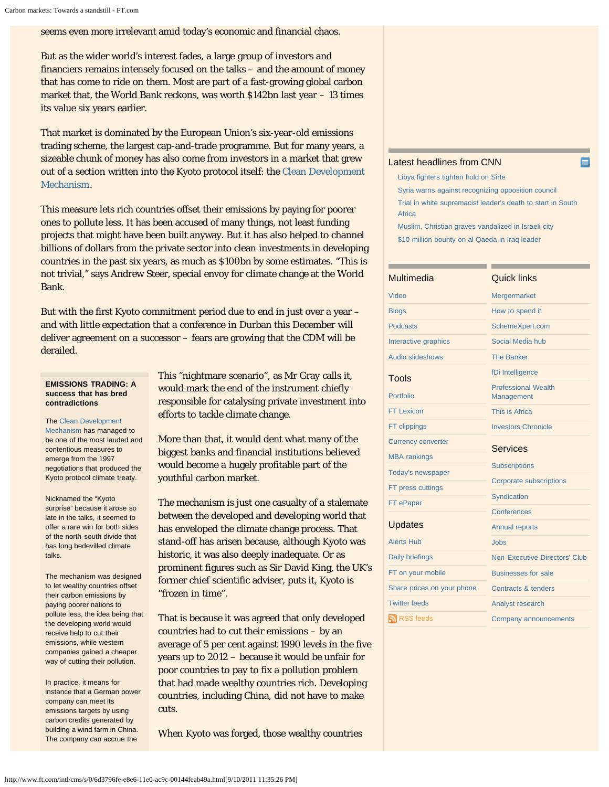seems even more irrelevant amid today's economic and financial chaos.

But as the wider world's interest fades, a large group of investors and financiers remains intensely focused on the talks – and the amount of money that has come to ride on them. Most are part of a fast-growing global carbon market that, the World Bank reckons, was worth \$142bn last year – 13 times its value six years earlier.

That market is dominated by the European Union's six-year-old emissions trading scheme, the largest cap-and-trade programme. But for many years, a sizeable chunk of money has also come from investors in a market that grew out of a section written into the Kyoto protocol itself: the [Clean Development](http://cdm.unfccc.int/) [Mechanism](http://cdm.unfccc.int/).

This measure lets rich countries offset their emissions by paying for poorer ones to pollute less. It has been accused of many things, not least funding projects that might have been built anyway. But it has also helped to channel billions of dollars from the private sector into clean investments in developing countries in the past six years, as much as \$100bn by some estimates. "This is not trivial," says Andrew Steer, special envoy for climate change at the World Bank.

But with the first Kyoto commitment period due to end in just over a year – and with little expectation that a conference in Durban this December will deliver agreement on a successor – fears are growing that the CDM will be derailed.

## **EMISSIONS TRADING: A success that has bred contradictions**

The [Clean Development](http://www.ft.com/indepth/clean-development-mechanism) [Mechanism h](http://www.ft.com/indepth/clean-development-mechanism)as managed to be one of the most lauded and contentious measures to emerge from the 1997 negotiations that produced the Kyoto protocol climate treaty.

Nicknamed the "Kyoto surprise" because it arose so late in the talks, it seemed to offer a rare win for both sides of the north-south divide that has long bedevilled climate talks.

The mechanism was designed to let wealthy countries offset their carbon emissions by paying poorer nations to pollute less, the idea being that the developing world would receive help to cut their emissions, while western companies gained a cheaper way of cutting their pollution.

In practice, it means for instance that a German power company can meet its emissions targets by using carbon credits generated by building a wind farm in China. The company can accrue the

This "nightmare scenario", as Mr Gray calls it, would mark the end of the instrument chiefly responsible for catalysing private investment into efforts to tackle climate change.

More than that, it would dent what many of the biggest banks and financial institutions believed would become a hugely profitable part of the youthful carbon market.

The mechanism is just one casualty of a stalemate between the developed and developing world that has enveloped the climate change process. That stand-off has arisen because, although Kyoto was historic, it was also deeply inadequate. Or as prominent figures such as Sir David King, the UK's former chief scientific adviser, puts it, Kyoto is "frozen in time".

That is because it was agreed that only developed countries had to cut their emissions – by an average of 5 per cent against 1990 levels in the five years up to 2012 – because it would be unfair for poor countries to pay to fix a pollution problem that had made wealthy countries rich. Developing countries, including China, did not have to make cuts.

When Kyoto was forged, those wealthy countries

# [Latest headlines from CNN](http://edition.cnn.com/BUSINESS/)

п

[Libya fighters tighten hold on Sirte](http://edition.cnn.com/2011/10/09/world/africa/libya-war/index.html?eref=ft) [Syria warns against recognizing opposition council](http://edition.cnn.com/2011/10/09/world/meast/syria-unrest/index.html?eref=ft) [Trial in white supremacist leader's death to start in South](http://edition.cnn.com/2011/10/09/world/africa/south-africa-supremacist-case/index.html?eref=ft) [Africa](http://edition.cnn.com/2011/10/09/world/africa/south-africa-supremacist-case/index.html?eref=ft) [Muslim, Christian graves vandalized in Israeli city](http://edition.cnn.com/2011/10/08/world/meast/israel-graves-vandalized/index.html?eref=ft)

[\\$10 million bounty on al Qaeda in Iraq leader](http://edition.cnn.com/2011/10/08/us/iraq-aq-leader/index.html?eref=ft)

| Multimedia                 | Quick links                                   |  |  |
|----------------------------|-----------------------------------------------|--|--|
| Video                      | Mergermarket                                  |  |  |
| <b>Blogs</b>               | How to spend it                               |  |  |
| <b>Podcasts</b>            | SchemeXpert.com                               |  |  |
| Interactive graphics       | Social Media hub                              |  |  |
| <b>Audio slideshows</b>    | <b>The Banker</b>                             |  |  |
| Tools                      | fDi Intelligence                              |  |  |
| Portfolio                  | <b>Professional Wealth</b><br>Management      |  |  |
| <b>FT Lexicon</b>          | This is Africa                                |  |  |
| FT clippings               | <b>Investors Chronicle</b>                    |  |  |
| <b>Currency converter</b>  | Services                                      |  |  |
| <b>MBA</b> rankings        |                                               |  |  |
| Today's newspaper          | <b>Subscriptions</b>                          |  |  |
| FT press cuttings          | <b>Corporate subscriptions</b><br>Syndication |  |  |
| FT ePaper                  |                                               |  |  |
|                            | Conferences                                   |  |  |
| Updates                    | <b>Annual reports</b>                         |  |  |
| <b>Alerts Hub</b>          | Jobs                                          |  |  |
| <b>Daily briefings</b>     | Non-Executive Directors' Club                 |  |  |
| FT on your mobile          | <b>Businesses for sale</b>                    |  |  |
| Share prices on your phone | Contracts & tenders                           |  |  |
| <b>Twitter feeds</b>       | Analyst research                              |  |  |
| RSS feeds                  | Company announcements                         |  |  |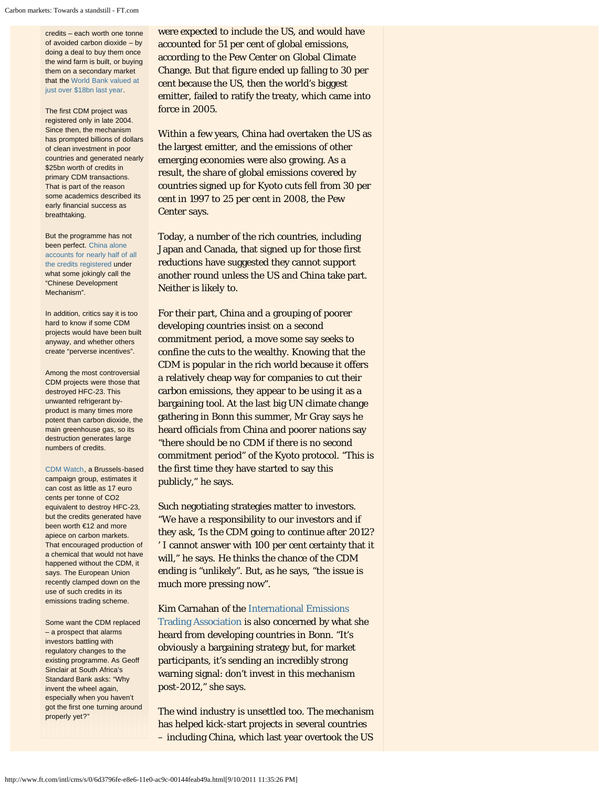credits – each worth one tonne of avoided carbon dioxide – by doing a deal to buy them once the wind farm is built, or buying them on a secondary market that the [World Bank valued at](http://siteresources.worldbank.org/INTCARBONFINANCE/Resources/State_and_Trends_Updated_June_2011.pdf) [just over \\$18bn last year.](http://siteresources.worldbank.org/INTCARBONFINANCE/Resources/State_and_Trends_Updated_June_2011.pdf)

The first CDM project was registered only in late 2004. Since then, the mechanism has prompted billions of dollars of clean investment in poor countries and generated nearly \$25bn worth of credits in primary CDM transactions. That is part of the reason some academics described its early financial success as breathtaking.

But the programme has not been perfect. [China alone](http://cdm.unfccc.int/Statistics/Issuance/CERsIssuedByHostPartyPieChart.html) [accounts for nearly half of all](http://cdm.unfccc.int/Statistics/Issuance/CERsIssuedByHostPartyPieChart.html) [the credits registered u](http://cdm.unfccc.int/Statistics/Issuance/CERsIssuedByHostPartyPieChart.html)nder what some jokingly call the "Chinese Development Mechanism".

In addition, critics say it is too hard to know if some CDM projects would have been built anyway, and whether others create "perverse incentives".

Among the most controversial CDM projects were those that destroyed HFC-23. This unwanted refrigerant byproduct is many times more potent than carbon dioxide, the main greenhouse gas, so its destruction generates large numbers of credits.

[CDM Watch,](http://www.cdm-watch.org/?page_id=451) a Brussels-based campaign group, estimates it can cost as little as 17 euro cents per tonne of CO2 equivalent to destroy HFC-23, but the credits generated have been worth €12 and more apiece on carbon markets. That encouraged production of a chemical that would not have happened without the CDM, it says. The European Union recently clamped down on the use of such credits in its emissions trading scheme.

Some want the CDM replaced – a prospect that alarms investors battling with regulatory changes to the existing programme. As Geoff Sinclair at South Africa's Standard Bank asks: "Why invent the wheel again, especially when you haven't got the first one turning around properly yet?"

were expected to include the US, and would have accounted for 51 per cent of global emissions, according to the Pew Center on Global Climate Change. But that figure ended up falling to 30 per cent because the US, then the world's biggest emitter, failed to ratify the treaty, which came into force in 2005.

Within a few years, China had overtaken the US as the largest emitter, and the emissions of other emerging economies were also growing. As a result, the share of global emissions covered by countries signed up for Kyoto cuts fell from 30 per cent in 1997 to 25 per cent in 2008, the Pew Center says.

Today, a number of the rich countries, including Japan and Canada, that signed up for those first reductions have suggested they cannot support another round unless the US and China take part. Neither is likely to.

For their part, China and a grouping of poorer developing countries insist on a second commitment period, a move some say seeks to confine the cuts to the wealthy. Knowing that the CDM is popular in the rich world because it offers a relatively cheap way for companies to cut their carbon emissions, they appear to be using it as a bargaining tool. At the last big UN climate change gathering in Bonn this summer, Mr Gray says he heard officials from China and poorer nations say "there should be no CDM if there is no second commitment period" of the Kyoto protocol. "This is the first time they have started to say this publicly," he says.

Such negotiating strategies matter to investors. "We have a responsibility to our investors and if they ask, 'Is the CDM going to continue after 2012? ' I cannot answer with 100 per cent certainty that it will," he says. He thinks the chance of the CDM ending is "unlikely". But, as he says, "the issue is much more pressing now".

Kim Carnahan of the [International Emissions](http://www.ieta.org/)

[Trading Association](http://www.ieta.org/) is also concerned by what she heard from developing countries in Bonn. "It's obviously a bargaining strategy but, for market participants, it's sending an incredibly strong warning signal: don't invest in this mechanism post-2012," she says.

The wind industry is unsettled too. The mechanism has helped kick-start projects in several countries – including China, which last year overtook the US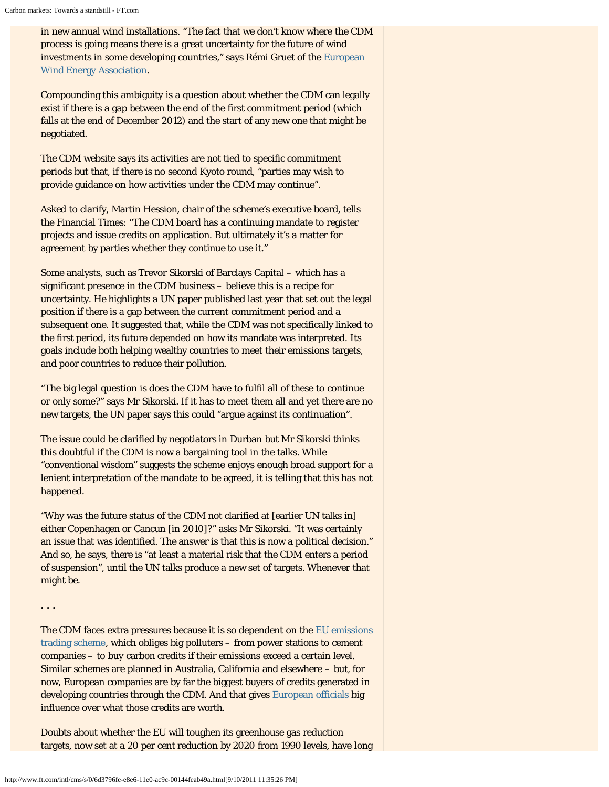in new annual wind installations. "The fact that we don't know where the CDM process is going means there is a great uncertainty for the future of wind investments in some developing countries," says Rémi Gruet of the [European](http://www.ewea.org/) [Wind Energy Association.](http://www.ewea.org/)

Compounding this ambiguity is a question about whether the CDM can legally exist if there is a gap between the end of the first commitment period (which falls at the end of December 2012) and the start of any new one that might be negotiated.

The CDM website says its activities are not tied to specific commitment periods but that, if there is no second Kyoto round, "parties may wish to provide guidance on how activities under the CDM may continue".

Asked to clarify, Martin Hession, chair of the scheme's executive board, tells the Financial Times: "The CDM board has a continuing mandate to register projects and issue credits on application. But ultimately it's a matter for agreement by parties whether they continue to use it."

Some analysts, such as Trevor Sikorski of Barclays Capital – which has a significant presence in the CDM business – believe this is a recipe for uncertainty. He highlights a UN paper published last year that set out the legal position if there is a gap between the current commitment period and a subsequent one. It suggested that, while the CDM was not specifically linked to the first period, its future depended on how its mandate was interpreted. Its goals include both helping wealthy countries to meet their emissions targets, and poor countries to reduce their pollution.

"The big legal question is does the CDM have to fulfil all of these to continue or only some?" says Mr Sikorski. If it has to meet them all and yet there are no new targets, the UN paper says this could "argue against its continuation".

The issue could be clarified by negotiators in Durban but Mr Sikorski thinks this doubtful if the CDM is now a bargaining tool in the talks. While "conventional wisdom" suggests the scheme enjoys enough broad support for a lenient interpretation of the mandate to be agreed, it is telling that this has not happened.

"Why was the future status of the CDM not clarified at [earlier UN talks in] either Copenhagen or Cancun [in 2010]?" asks Mr Sikorski. "It was certainly an issue that was identified. The answer is that this is now a political decision." And so, he says, there is "at least a material risk that the CDM enters a period of suspension", until the UN talks produce a new set of targets. Whenever that might be.

**. . .**

The CDM faces extra pressures because it is so dependent on the [EU emissions](http://ec.europa.eu/clima/policies/ets/index_en.htm) [trading scheme](http://ec.europa.eu/clima/policies/ets/index_en.htm), which obliges big polluters – from power stations to cement companies – to buy carbon credits if their emissions exceed a certain level. Similar schemes are planned in Australia, California and elsewhere – but, for now, European companies are by far the biggest buyers of credits generated in developing countries through the CDM. And that gives [European officials](http://www.ft.com/intl/cms/s/0/76176956-384d-11e0-8257-00144feabdc0.html#axzz1ZCY9XShi) big influence over what those credits are worth.

Doubts about whether the EU will toughen its greenhouse gas reduction targets, now set at a 20 per cent reduction by 2020 from 1990 levels, have long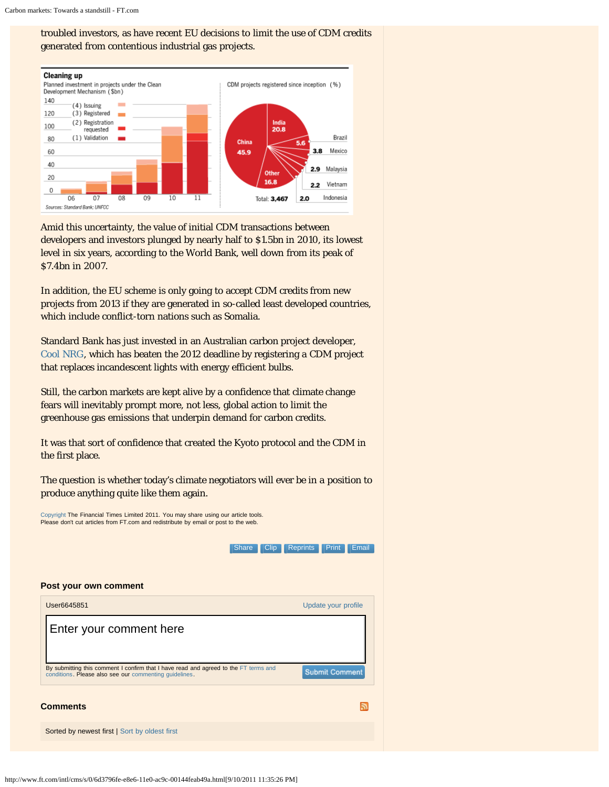# troubled investors, as have recent EU decisions to limit the use of CDM credits generated from contentious industrial gas projects.



Amid this uncertainty, the value of initial CDM transactions between developers and investors plunged by nearly half to \$1.5bn in 2010, its lowest level in six years, according to the World Bank, well down from its peak of \$7.4bn in 2007.

In addition, the EU scheme is only going to accept CDM credits from new projects from 2013 if they are generated in so-called least developed countries, which include conflict-torn nations such as Somalia.

Standard Bank has just invested in an Australian carbon project developer, [Cool NRG](http://www.coolnrg.com/), which has beaten the 2012 deadline by registering a CDM project that replaces incandescent lights with energy efficient bulbs.

Still, the carbon markets are kept alive by a confidence that climate change fears will inevitably prompt more, not less, global action to limit the greenhouse gas emissions that underpin demand for carbon credits.

It was that sort of confidence that created the Kyoto protocol and the CDM in the first place.

The question is whether today's climate negotiators will ever be in a position to produce anything quite like them again.

[Copyright](http://www.ft.com/servicestools/help/copyright) The Financial Times Limited 2011. You may share using our article tools. Please don't cut articles from FT.com and redistribute by email or post to the web.

> [Clip](http://clippings.ft.com/clipthis/?url=http%3A%2F%2Fwww.ft.com%2Fcms%2Fs%2F0%2F6d3796fe-e8e6-11e0-ac9c-00144feab49a.html&title=Carbon+markets%3A+Towards+a+standstill¬e=A+scheme+that+enables+rich+nations+to+offset+emissions+by+funding+%26lsquo%3Bclean%26rsquo%3B+projects+elsewhere+is+falling+prey+to+global+politicking&datepublished=2011-09-27+22%3A42%3A7) [Reprints](http://storytools.ft.com/storyTools/reprintOrRepublish.html?uuid=6d3796fe-e8e6-11e0-ac9c-00144feab49a) [Print](#page-0-0) [Email](#page-0-0) **[Share](#page-0-0)**



http://www.ft.com/intl/cms/s/0/6d3796fe-e8e6-11e0-ac9c-00144feab49a.html[9/10/2011 11:35:26 PM]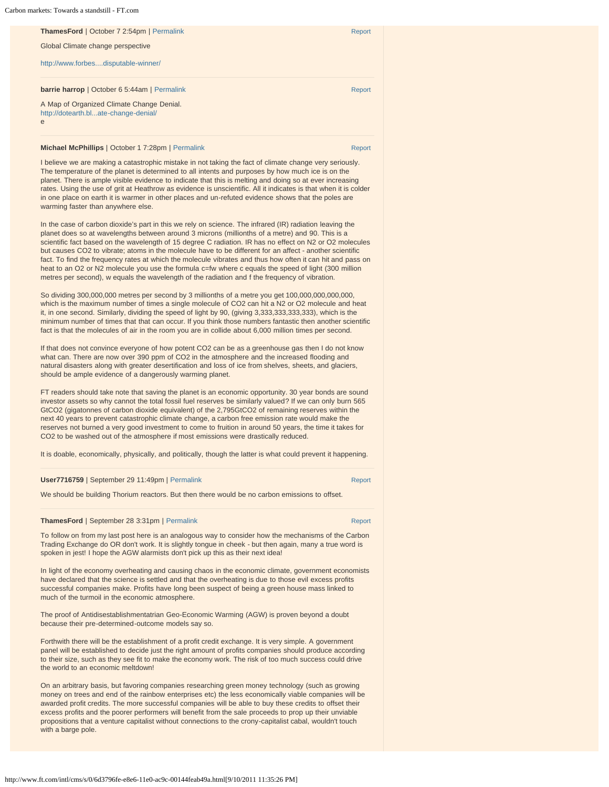#### Carbon markets: Towards a standstill - FT.com

| <b>ThamesFord</b>   October 7 2:54pm   Permalink                                       | Report |
|----------------------------------------------------------------------------------------|--------|
| Global Climate change perspective                                                      |        |
| http://www.forbesdisputable-winner/                                                    |        |
| <b>barrie harrop</b>   October 6 5:44am   Permalink                                    | Report |
| A Map of Organized Climate Change Denial.<br>http://dotearth.blate-change-denial/<br>e |        |
|                                                                                        |        |

#### **Michael McPhillips** | October 1 7:28pm | [Permalink](http://www.ft.com/cms/s/0/6d3796fe-e8e6-11e0-ac9c-00144feab49a.html#comment-1247029) [Report](javascript:void(0)) Report Report Report Report

I believe we are making a catastrophic mistake in not taking the fact of climate change very seriously. The temperature of the planet is determined to all intents and purposes by how much ice is on the planet. There is ample visible evidence to indicate that this is melting and doing so at ever increasing rates. Using the use of grit at Heathrow as evidence is unscientific. All it indicates is that when it is colder in one place on earth it is warmer in other places and un-refuted evidence shows that the poles are warming faster than anywhere else.

In the case of carbon dioxide's part in this we rely on science. The infrared (IR) radiation leaving the planet does so at wavelengths between around 3 microns (millionths of a metre) and 90. This is a scientific fact based on the wavelength of 15 degree C radiation. IR has no effect on N2 or O2 molecules but causes CO2 to vibrate; atoms in the molecule have to be different for an affect - another scientific fact. To find the frequency rates at which the molecule vibrates and thus how often it can hit and pass on heat to an O2 or N2 molecule you use the formula c=fw where c equals the speed of light (300 million metres per second), w equals the wavelength of the radiation and f the frequency of vibration.

So dividing 300,000,000 metres per second by 3 millionths of a metre you get 100,000,000,000,000, which is the maximum number of times a single molecule of CO2 can hit a N2 or O2 molecule and heat it, in one second. Similarly, dividing the speed of light by 90, (giving 3,333,333,333,333), which is the minimum number of times that that can occur. If you think those numbers fantastic then another scientific fact is that the molecules of air in the room you are in collide about 6,000 million times per second.

If that does not convince everyone of how potent CO2 can be as a greenhouse gas then I do not know what can. There are now over 390 ppm of CO2 in the atmosphere and the increased flooding and natural disasters along with greater desertification and loss of ice from shelves, sheets, and glaciers, should be ample evidence of a dangerously warming planet.

FT readers should take note that saving the planet is an economic opportunity. 30 year bonds are sound investor assets so why cannot the total fossil fuel reserves be similarly valued? If we can only burn 565 GtCO2 (gigatonnes of carbon dioxide equivalent) of the 2,795GtCO2 of remaining reserves within the next 40 years to prevent catastrophic climate change, a carbon free emission rate would make the reserves not burned a very good investment to come to fruition in around 50 years, the time it takes for CO2 to be washed out of the atmosphere if most emissions were drastically reduced.

It is doable, economically, physically, and politically, though the latter is what could prevent it happening.

#### **User7716759** | September 29 11:49pm | [Permalink](http://www.ft.com/cms/s/0/6d3796fe-e8e6-11e0-ac9c-00144feab49a.html#comment-1245873) [Report](javascript:void(0)) Report Report

We should be building Thorium reactors. But then there would be no carbon emissions to offset.

#### **ThamesFord** | September 28 3:31pm | [Permalink](http://www.ft.com/cms/s/0/6d3796fe-e8e6-11e0-ac9c-00144feab49a.html#comment-1244674) [Report](javascript:void(0))

To follow on from my last post here is an analogous way to consider how the mechanisms of the Carbon Trading Exchange do OR don't work. It is slightly tongue in cheek - but then again, many a true word is spoken in jest! I hope the AGW alarmists don't pick up this as their next idea!

In light of the economy overheating and causing chaos in the economic climate, government economists have declared that the science is settled and that the overheating is due to those evil excess profits successful companies make. Profits have long been suspect of being a green house mass linked to much of the turmoil in the economic atmosphere.

The proof of Antidisestablishmentatrian Geo-Economic Warming (AGW) is proven beyond a doubt because their pre-determined-outcome models say so.

Forthwith there will be the establishment of a profit credit exchange. It is very simple. A government panel will be established to decide just the right amount of profits companies should produce according to their size, such as they see fit to make the economy work. The risk of too much success could drive the world to an economic meltdown!

On an arbitrary basis, but favoring companies researching green money technology (such as growing money on trees and end of the rainbow enterprises etc) the less economically viable companies will be awarded profit credits. The more successful companies will be able to buy these credits to offset their excess profits and the poorer performers will benefit from the sale proceeds to prop up their unviable propositions that a venture capitalist without connections to the crony-capitalist cabal, wouldn't touch with a barge pole.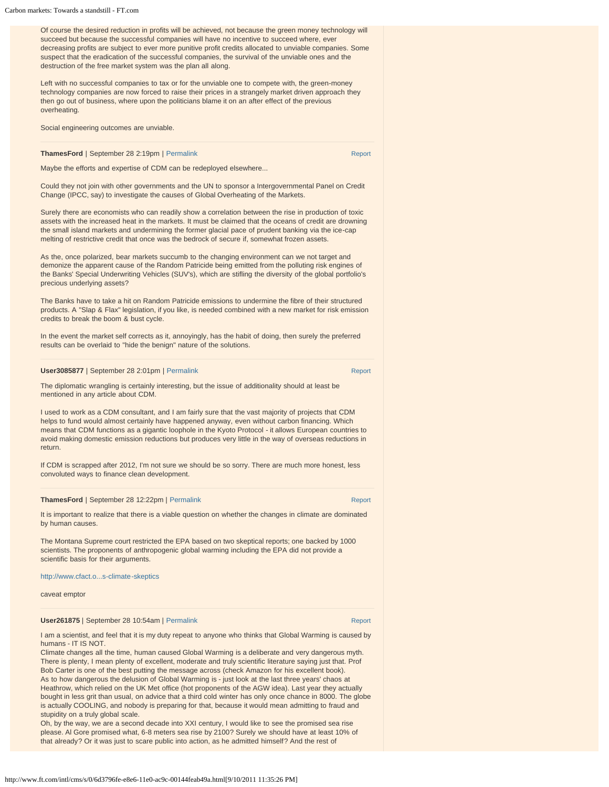Of course the desired reduction in profits will be achieved, not because the green money technology will succeed but because the successful companies will have no incentive to succeed where, ever decreasing profits are subject to ever more punitive profit credits allocated to unviable companies. Some suspect that the eradication of the successful companies, the survival of the unviable ones and the destruction of the free market system was the plan all along.

Left with no successful companies to tax or for the unviable one to compete with, the green-money technology companies are now forced to raise their prices in a strangely market driven approach they then go out of business, where upon the politicians blame it on an after effect of the previous overheating.

|  | Social engineering outcomes are unviable. |  |
|--|-------------------------------------------|--|
|  |                                           |  |

**ThamesFord** | September 28 2:19pm | [Permalink](http://www.ft.com/cms/s/0/6d3796fe-e8e6-11e0-ac9c-00144feab49a.html#comment-1244617) [Report](javascript:void(0)) Report Report Report Report

Maybe the efforts and expertise of CDM can be redeployed elsewhere...

Could they not join with other governments and the UN to sponsor a Intergovernmental Panel on Credit Change (IPCC, say) to investigate the causes of Global Overheating of the Markets.

Surely there are economists who can readily show a correlation between the rise in production of toxic assets with the increased heat in the markets. It must be claimed that the oceans of credit are drowning the small island markets and undermining the former glacial pace of prudent banking via the ice-cap melting of restrictive credit that once was the bedrock of secure if, somewhat frozen assets.

As the, once polarized, bear markets succumb to the changing environment can we not target and demonize the apparent cause of the Random Patricide being emitted from the polluting risk engines of the Banks' Special Underwriting Vehicles (SUV's), which are stifling the diversity of the global portfolio's precious underlying assets?

The Banks have to take a hit on Random Patricide emissions to undermine the fibre of their structured products. A "Slap & Flax" legislation, if you like, is needed combined with a new market for risk emission credits to break the boom & bust cycle.

In the event the market self corrects as it, annoyingly, has the habit of doing, then surely the preferred results can be overlaid to "hide the benign" nature of the solutions.

#### **User3085877** | September 28 2:01pm | [Permalink](http://www.ft.com/cms/s/0/6d3796fe-e8e6-11e0-ac9c-00144feab49a.html#comment-1244603) [Report](javascript:void(0)) Report Report

The diplomatic wrangling is certainly interesting, but the issue of additionality should at least be mentioned in any article about CDM.

I used to work as a CDM consultant, and I am fairly sure that the vast majority of projects that CDM helps to fund would almost certainly have happened anyway, even without carbon financing. Which means that CDM functions as a gigantic loophole in the Kyoto Protocol - it allows European countries to avoid making domestic emission reductions but produces very little in the way of overseas reductions in return.

If CDM is scrapped after 2012, I'm not sure we should be so sorry. There are much more honest, less convoluted ways to finance clean development.

# ThamesFord | September 28 12:22pm | [Permalink](http://www.ft.com/cms/s/0/6d3796fe-e8e6-11e0-ac9c-00144feab49a.html#comment-1244517) [Report](javascript:void(0))

It is important to realize that there is a viable question on whether the changes in climate are dominated by human causes.

The Montana Supreme court restricted the EPA based on two skeptical reports; one backed by 1000 scientists. The proponents of anthropogenic global warming including the EPA did not provide a scientific basis for their arguments.

[http://www.cfact.o...s-climate-skeptics](http://www.cfact.org/a/2004/New-precedent-supports-climate-skeptics)

caveat emptor

#### **User261875** | September 28 10:54am | [Permalink](http://www.ft.com/cms/s/0/6d3796fe-e8e6-11e0-ac9c-00144feab49a.html#comment-1244125) [Report](javascript:void(0)) Report Report Report Report

I am a scientist, and feel that it is my duty repeat to anyone who thinks that Global Warming is caused by humans - IT IS NOT.

Climate changes all the time, human caused Global Warming is a deliberate and very dangerous myth. There is plenty, I mean plenty of excellent, moderate and truly scientific literature saying just that. Prof Bob Carter is one of the best putting the message across (check Amazon for his excellent book). As to how dangerous the delusion of Global Warming is - just look at the last three years' chaos at Heathrow, which relied on the UK Met office (hot proponents of the AGW idea). Last year they actually bought in less grit than usual, on advice that a third cold winter has only once chance in 8000. The globe is actually COOLING, and nobody is preparing for that, because it would mean admitting to fraud and stupidity on a truly global scale.

Oh, by the way, we are a second decade into XXI century, I would like to see the promised sea rise please. Al Gore promised what, 6-8 meters sea rise by 2100? Surely we should have at least 10% of that already? Or it was just to scare public into action, as he admitted himself? And the rest of